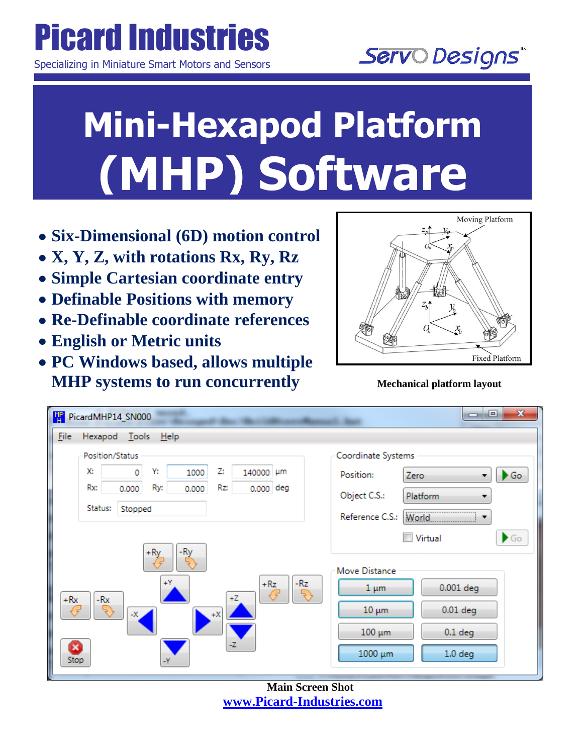Specializing in Miniature Smart Motors and Sensors



## **Mini-Hexapod Platform (MHP) Software**

- **Six-Dimensional (6D) motion control**
- **X, Y, Z, with rotations Rx, Ry, Rz**
- **Simple Cartesian coordinate entry**
- **Definable Positions with memory**
- **Re-Definable coordinate references**
- **English or Metric units**
- **PC Windows based, allows multiple MHP systems to run concurrently Mechanical platform layout**





 **Main Screen Shot [www.Picard-Industries.com](http://www.picard-industries.com/)**